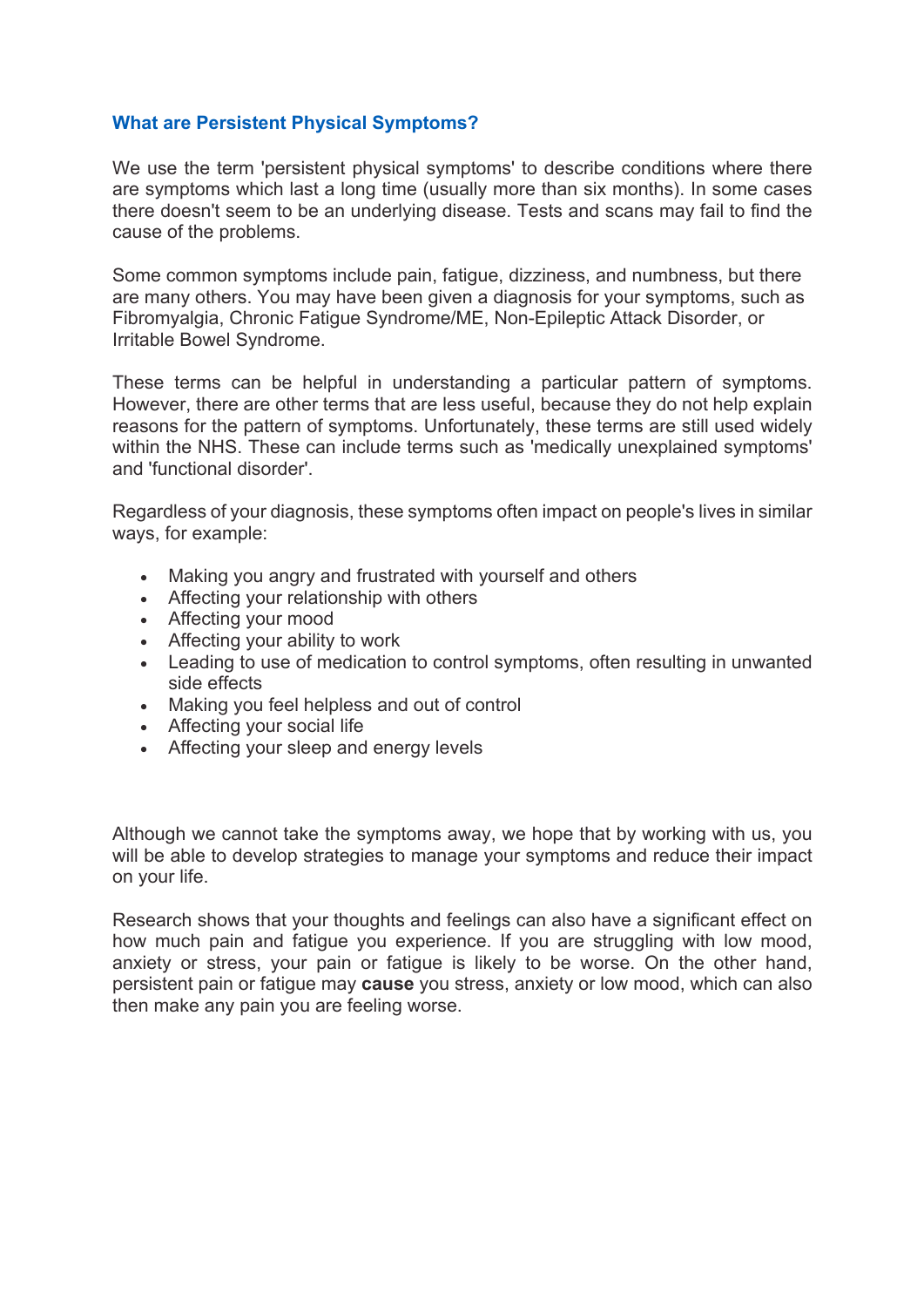## **What are Persistent Physical Symptoms?**

We use the term 'persistent physical symptoms' to describe conditions where there are symptoms which last a long time (usually more than six months). In some cases there doesn't seem to be an underlying disease. Tests and scans may fail to find the cause of the problems.

Some common symptoms include pain, fatigue, dizziness, and numbness, but there are many others. You may have been given a diagnosis for your symptoms, such as Fibromyalgia, Chronic Fatigue Syndrome/ME, Non-Epileptic Attack Disorder, or Irritable Bowel Syndrome.

These terms can be helpful in understanding a particular pattern of symptoms. However, there are other terms that are less useful, because they do not help explain reasons for the pattern of symptoms. Unfortunately, these terms are still used widely within the NHS. These can include terms such as 'medically unexplained symptoms' and 'functional disorder'.

Regardless of your diagnosis, these symptoms often impact on people's lives in similar ways, for example:

- Making you angry and frustrated with yourself and others
- Affecting your relationship with others
- Affecting your mood
- Affecting your ability to work
- Leading to use of medication to control symptoms, often resulting in unwanted side effects
- Making you feel helpless and out of control
- Affecting your social life
- Affecting your sleep and energy levels

Although we cannot take the symptoms away, we hope that by working with us, you will be able to develop strategies to manage your symptoms and reduce their impact on your life.

Research shows that your thoughts and feelings can also have a significant effect on how much pain and fatigue you experience. If you are struggling with low mood, anxiety or stress, your pain or fatigue is likely to be worse. On the other hand, persistent pain or fatigue may **cause** you stress, anxiety or low mood, which can also then make any pain you are feeling worse.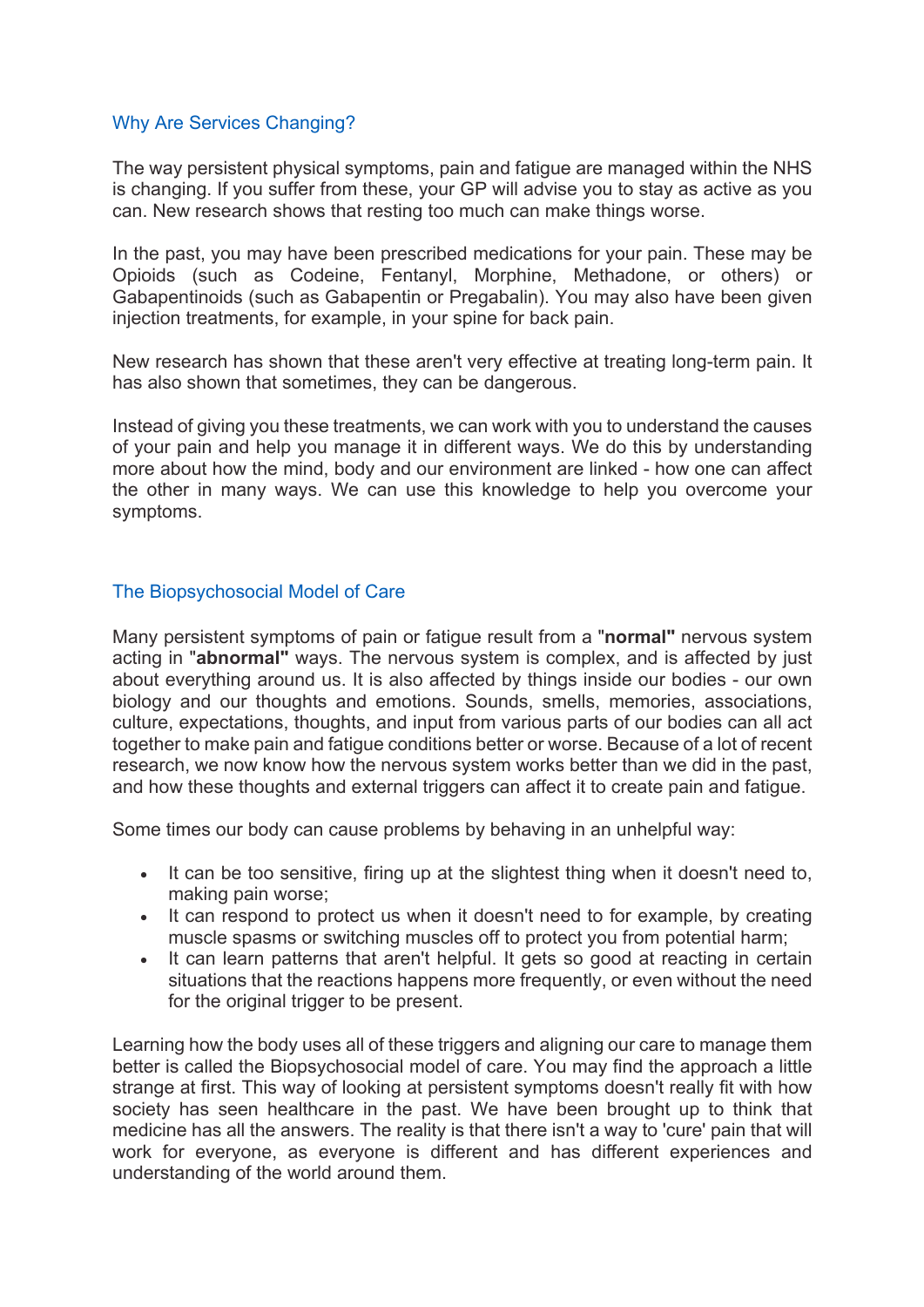## Why Are Services Changing?

The way persistent physical symptoms, pain and fatigue are managed within the NHS is changing. If you suffer from these, your GP will advise you to stay as active as you can. New research shows that resting too much can make things worse.

In the past, you may have been prescribed medications for your pain. These may be Opioids (such as Codeine, Fentanyl, Morphine, Methadone, or others) or Gabapentinoids (such as Gabapentin or Pregabalin). You may also have been given injection treatments, for example, in your spine for back pain.

New research has shown that these aren't very effective at treating long-term pain. It has also shown that sometimes, they can be dangerous.

Instead of giving you these treatments, we can work with you to understand the causes of your pain and help you manage it in different ways. We do this by understanding more about how the mind, body and our environment are linked - how one can affect the other in many ways. We can use this knowledge to help you overcome your symptoms.

## The Biopsychosocial Model of Care

Many persistent symptoms of pain or fatigue result from a "**normal"** nervous system acting in "**abnormal"** ways. The nervous system is complex, and is affected by just about everything around us. It is also affected by things inside our bodies - our own biology and our thoughts and emotions. Sounds, smells, memories, associations, culture, expectations, thoughts, and input from various parts of our bodies can all act together to make pain and fatigue conditions better or worse. Because of a lot of recent research, we now know how the nervous system works better than we did in the past, and how these thoughts and external triggers can affect it to create pain and fatigue.

Some times our body can cause problems by behaving in an unhelpful way:

- It can be too sensitive, firing up at the slightest thing when it doesn't need to, making pain worse;
- It can respond to protect us when it doesn't need to for example, by creating muscle spasms or switching muscles off to protect you from potential harm;
- It can learn patterns that aren't helpful. It gets so good at reacting in certain situations that the reactions happens more frequently, or even without the need for the original trigger to be present.

Learning how the body uses all of these triggers and aligning our care to manage them better is called the Biopsychosocial model of care. You may find the approach a little strange at first. This way of looking at persistent symptoms doesn't really fit with how society has seen healthcare in the past. We have been brought up to think that medicine has all the answers. The reality is that there isn't a way to 'cure' pain that will work for everyone, as everyone is different and has different experiences and understanding of the world around them.